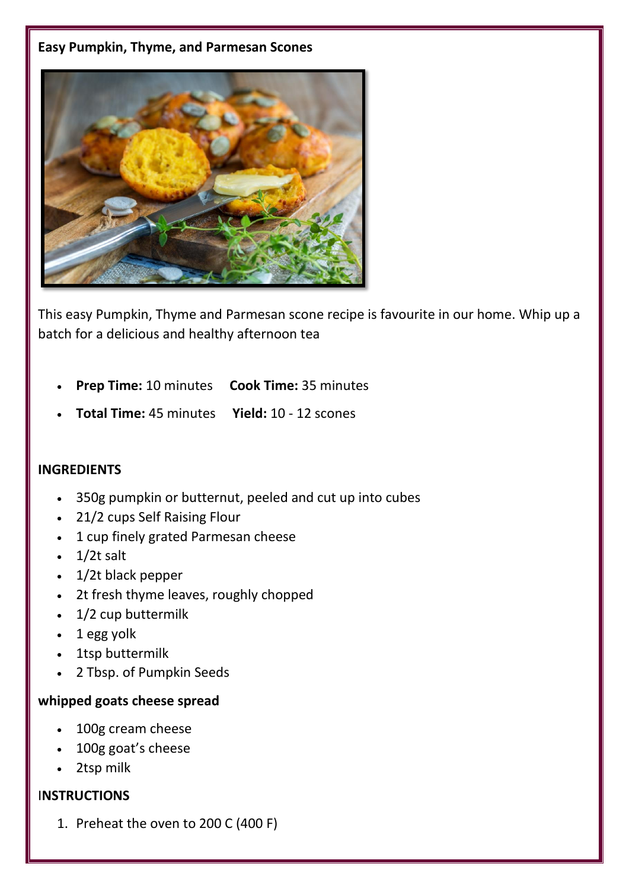#### **Easy Pumpkin, Thyme, and Parmesan Scones**



This easy Pumpkin, Thyme and Parmesan scone recipe is favourite in our home. Whip up a batch for a delicious and healthy afternoon tea

- **Prep Time:** 10 minutes **Cook Time:** 35 minutes
- **Total Time:** 45 minutes **Yield:** 10 12 scones

### **INGREDIENTS**

- 350g pumpkin or butternut, peeled and cut up into cubes
- 21/2 cups Self Raising Flour
- 1 cup finely grated Parmesan cheese
- $\cdot$  1/2t salt
- 1/2t black pepper
- 2t fresh thyme leaves, roughly chopped
- 1/2 cup buttermilk
- 1 egg yolk
- 1tsp buttermilk
- 2 Tbsp. of Pumpkin Seeds

#### **whipped goats cheese spread**

- 100g cream cheese
- 100g goat's cheese
- 2tsp milk

## I**NSTRUCTIONS**

1. Preheat the oven to 200 C (400 F)